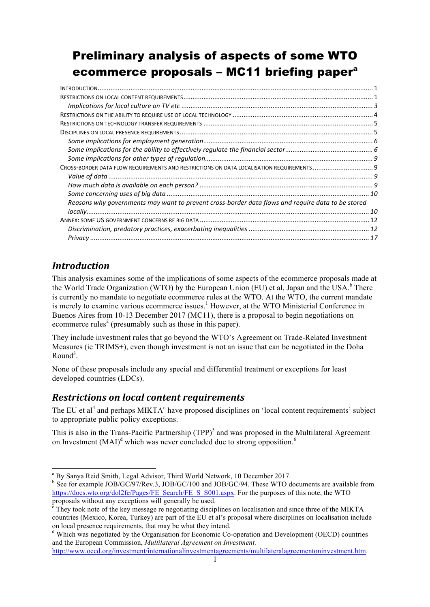# Preliminary analysis of aspects of some WTO ecommerce proposals – MC11 briefing papera

| CROSS-BORDER DATA FLOW REQUIREMENTS AND RESTRICTIONS ON DATA LOCALISATION REQUIREMENTS  9         |  |
|---------------------------------------------------------------------------------------------------|--|
|                                                                                                   |  |
|                                                                                                   |  |
|                                                                                                   |  |
| Reasons why governments may want to prevent cross-border data flows and require data to be stored |  |
|                                                                                                   |  |
|                                                                                                   |  |
|                                                                                                   |  |
|                                                                                                   |  |

# *Introduction*

This analysis examines some of the implications of some aspects of the ecommerce proposals made at the World Trade Organization (WTO) by the European Union (EU) et al. Japan and the USA.<sup>b</sup> There is currently no mandate to negotiate ecommerce rules at the WTO. At the WTO, the current mandate is merely to examine various ecommerce issues.<sup>1</sup> However, at the WTO Ministerial Conference in Buenos Aires from 10-13 December 2017 (MC11), there is a proposal to begin negotiations on ecommerce rules<sup>2</sup> (presumably such as those in this paper).

They include investment rules that go beyond the WTO's Agreement on Trade-Related Investment Measures (ie TRIMS+), even though investment is not an issue that can be negotiated in the Doha  $Round<sup>3</sup>$ .

None of these proposals include any special and differential treatment or exceptions for least developed countries (LDCs).

# *Restrictions on local content requirements*

The EU et  $a_1^4$  and perhaps MIKTA<sup>c</sup> have proposed disciplines on 'local content requirements' subject to appropriate public policy exceptions.

This is also in the Trans-Pacific Partnership (TPP)<sup>5</sup> and was proposed in the Multilateral Agreement on Investment  $(MAI)^d$  which was never concluded due to strong opposition.<sup>6</sup>

a By Sanya Reid Smith, Legal Advisor, Third World Network, 10 December 2017.

<sup>&</sup>lt;sup>b</sup> See for example JOB/GC/97/Rev.3, JOB/GC/100 and JOB/GC/94. These WTO documents are available from https://docs.wto.org/dol2fe/Pages/FE\_Search/FE\_S\_S001.aspx. For the purposes of this note, the WTO proposals without any exceptions will generally be used.

 $\epsilon$  They took note of the key message re negotiating disciplines on localisation and since three of the MIKTA countries (Mexico, Korea, Turkey) are part of the EU et al's proposal where disciplines on localisation include on local presence requirements, that may be what they intend.

<sup>d</sup> Which was negotiated by the Organisation for Economic Co-operation and Development (OECD) countries and the European Commission, *Multilateral Agreement on Investment,*

http://www.oecd.org/investment/internationalinvestmentagreements/multilateralagreementoninvestment.htm.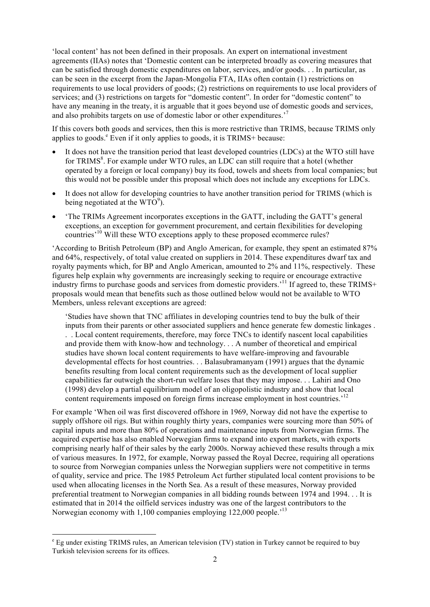'local content' has not been defined in their proposals. An expert on international investment agreements (IIAs) notes that 'Domestic content can be interpreted broadly as covering measures that can be satisfied through domestic expenditures on labor, services, and/or goods. . . In particular, as can be seen in the excerpt from the Japan-Mongolia FTA, IIAs often contain (1) restrictions on requirements to use local providers of goods; (2) restrictions on requirements to use local providers of services; and (3) restrictions on targets for "domestic content". In order for "domestic content" to have any meaning in the treaty, it is arguable that it goes beyond use of domestic goods and services, and also prohibits targets on use of domestic labor or other expenditures.'<sup>7</sup>

If this covers both goods and services, then this is more restrictive than TRIMS, because TRIMS only applies to goods. $^e$  Even if it only applies to goods, it is TRIMS+ because:

- It does not have the transition period that least developed countries (LDCs) at the WTO still have for TRIMS<sup>8</sup>. For example under WTO rules, an LDC can still require that a hotel (whether operated by a foreign or local company) buy its food, towels and sheets from local companies; but this would not be possible under this proposal which does not include any exceptions for LDCs.
- It does not allow for developing countries to have another transition period for TRIMS (which is being negotiated at the WTO<sup>9</sup>).
- 'The TRIMs Agreement incorporates exceptions in the GATT, including the GATT's general exceptions, an exception for government procurement, and certain flexibilities for developing countries<sup>'10</sup> Will these WTO exceptions apply to these proposed ecommerce rules?

'According to British Petroleum (BP) and Anglo American, for example, they spent an estimated 87% and 64%, respectively, of total value created on suppliers in 2014. These expenditures dwarf tax and royalty payments which, for BP and Anglo American, amounted to 2% and 11%, respectively. These figures help explain why governments are increasingly seeking to require or encourage extractive industry firms to purchase goods and services from domestic providers.<sup>11</sup> If agreed to, these TRIMS+ proposals would mean that benefits such as those outlined below would not be available to WTO Members, unless relevant exceptions are agreed:

'Studies have shown that TNC affiliates in developing countries tend to buy the bulk of their inputs from their parents or other associated suppliers and hence generate few domestic linkages . . . Local content requirements, therefore, may force TNCs to identify nascent local capabilities and provide them with know-how and technology. . . A number of theoretical and empirical studies have shown local content requirements to have welfare-improving and favourable developmental effects for host countries. . . Balasubramanyam (1991) argues that the dynamic benefits resulting from local content requirements such as the development of local supplier capabilities far outweigh the short-run welfare loses that they may impose. . . Lahiri and Ono (1998) develop a partial equilibrium model of an oligopolistic industry and show that local content requirements imposed on foreign firms increase employment in host countries.<sup>12</sup>

For example 'When oil was first discovered offshore in 1969, Norway did not have the expertise to supply offshore oil rigs. But within roughly thirty years, companies were sourcing more than 50% of capital inputs and more than 80% of operations and maintenance inputs from Norwegian firms. The acquired expertise has also enabled Norwegian firms to expand into export markets, with exports comprising nearly half of their sales by the early 2000s. Norway achieved these results through a mix of various measures. In 1972, for example, Norway passed the Royal Decree, requiring all operations to source from Norwegian companies unless the Norwegian suppliers were not competitive in terms of quality, service and price. The 1985 Petroleum Act further stipulated local content provisions to be used when allocating licenses in the North Sea. As a result of these measures, Norway provided preferential treatment to Norwegian companies in all bidding rounds between 1974 and 1994. . . It is estimated that in 2014 the oilfield services industry was one of the largest contributors to the Norwegian economy with 1,100 companies employing 122,000 people.<sup>13</sup>

e Eg under existing TRIMS rules, an American television (TV) station in Turkey cannot be required to buy Turkish television screens for its offices.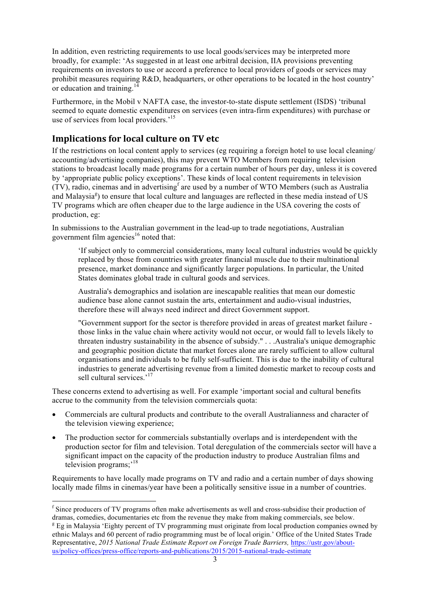In addition, even restricting requirements to use local goods/services may be interpreted more broadly, for example: 'As suggested in at least one arbitral decision, IIA provisions preventing requirements on investors to use or accord a preference to local providers of goods or services may prohibit measures requiring R&D, headquarters, or other operations to be located in the host country' or education and training.<sup>1</sup>

Furthermore, in the Mobil v NAFTA case, the investor-to-state dispute settlement (ISDS) 'tribunal seemed to equate domestic expenditures on services (even intra-firm expenditures) with purchase or use of services from local providers.<sup>15</sup>

## **Implications for local culture on TV etc**

If the restrictions on local content apply to services (eg requiring a foreign hotel to use local cleaning/ accounting/advertising companies), this may prevent WTO Members from requiring television stations to broadcast locally made programs for a certain number of hours per day, unless it is covered by 'appropriate public policy exceptions'. These kinds of local content requirements in television (TV), radio, cinemas and in advertising<sup>f</sup> are used by a number of WTO Members (such as Australia and Malaysia<sup>g</sup>) to ensure that local culture and languages are reflected in these media instead of US TV programs which are often cheaper due to the large audience in the USA covering the costs of production, eg:

In submissions to the Australian government in the lead-up to trade negotiations, Australian government film agencies<sup>16</sup> noted that

'If subject only to commercial considerations, many local cultural industries would be quickly replaced by those from countries with greater financial muscle due to their multinational presence, market dominance and significantly larger populations. In particular, the United States dominates global trade in cultural goods and services.

Australia's demographics and isolation are inescapable realities that mean our domestic audience base alone cannot sustain the arts, entertainment and audio-visual industries, therefore these will always need indirect and direct Government support.

"Government support for the sector is therefore provided in areas of greatest market failure those links in the value chain where activity would not occur, or would fall to levels likely to threaten industry sustainability in the absence of subsidy." . . .Australia's unique demographic and geographic position dictate that market forces alone are rarely sufficient to allow cultural organisations and individuals to be fully self-sufficient. This is due to the inability of cultural industries to generate advertising revenue from a limited domestic market to recoup costs and sell cultural services.'<sup>17</sup>

These concerns extend to advertising as well. For example 'important social and cultural benefits accrue to the community from the television commercials quota:

- Commercials are cultural products and contribute to the overall Australianness and character of the television viewing experience;
- The production sector for commercials substantially overlaps and is interdependent with the production sector for film and television. Total deregulation of the commercials sector will have a significant impact on the capacity of the production industry to produce Australian films and television programs;<sup>18</sup>

Requirements to have locally made programs on TV and radio and a certain number of days showing locally made films in cinemas/year have been a politically sensitive issue in a number of countries.

f Since producers of TV programs often make advertisements as well and cross-subsidise their production of dramas, comedies, documentaries etc from the revenue they make from making commercials, see below. <sup>g</sup> Eg in Malaysia 'Eighty percent of TV programming must originate from local production companies owned by ethnic Malays and 60 percent of radio programming must be of local origin.' Office of the United States Trade Representative, *2015 National Trade Estimate Report on Foreign Trade Barriers,* https://ustr.gov/aboutus/policy-offices/press-office/reports-and-publications/2015/2015-national-trade-estimate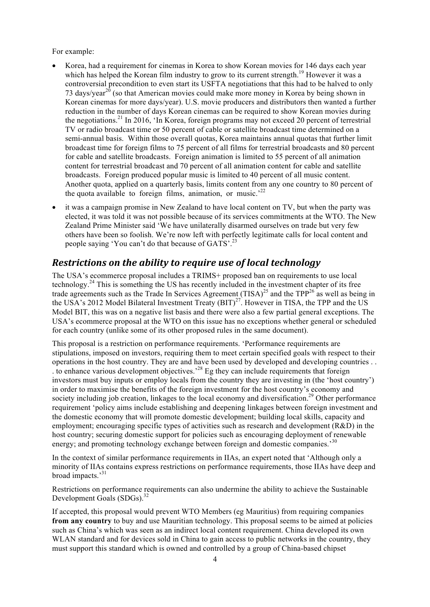For example:

- Korea, had a requirement for cinemas in Korea to show Korean movies for 146 days each year which has helped the Korean film industry to grow to its current strength.<sup>19</sup> However it was a controversial precondition to even start its USFTA negotiations that this had to be halved to only 73 days/year<sup>20</sup> (so that American movies could make more money in Korea by being shown in Korean cinemas for more days/year). U.S. movie producers and distributors then wanted a further reduction in the number of days Korean cinemas can be required to show Korean movies during the negotiations.<sup>21</sup> In 2016, 'In Korea, foreign programs may not exceed 20 percent of terrestrial TV or radio broadcast time or 50 percent of cable or satellite broadcast time determined on a semi-annual basis. Within those overall quotas, Korea maintains annual quotas that further limit broadcast time for foreign films to 75 percent of all films for terrestrial broadcasts and 80 percent for cable and satellite broadcasts. Foreign animation is limited to 55 percent of all animation content for terrestrial broadcast and 70 percent of all animation content for cable and satellite broadcasts. Foreign produced popular music is limited to 40 percent of all music content. Another quota, applied on a quarterly basis, limits content from any one country to 80 percent of the quota available to foreign films, animation, or music.<sup> $22$ </sup>
- it was a campaign promise in New Zealand to have local content on TV, but when the party was elected, it was told it was not possible because of its services commitments at the WTO. The New Zealand Prime Minister said 'We have unilaterally disarmed ourselves on trade but very few others have been so foolish. We're now left with perfectly legitimate calls for local content and people saying 'You can't do that because of GATS'.<sup>23</sup>

# *Restrictions on the ability to require use of local technology*

The USA's ecommerce proposal includes a TRIMS+ proposed ban on requirements to use local technology.<sup>24</sup> This is something the US has recently included in the investment chapter of its free trade agreements such as the Trade In Services Agreement  $(TISA)^{25}$  and the TPP<sup>26</sup> as well as being in the USA's 2012 Model Bilateral Investment Treaty  $(BIT)^{27}$ . However in TISA, the TPP and the US Model BIT, this was on a negative list basis and there were also a few partial general exceptions. The USA's ecommerce proposal at the WTO on this issue has no exceptions whether general or scheduled for each country (unlike some of its other proposed rules in the same document).

This proposal is a restriction on performance requirements. 'Performance requirements are stipulations, imposed on investors, requiring them to meet certain specified goals with respect to their operations in the host country. They are and have been used by developed and developing countries . . . to enhance various development objectives.'<sup>28</sup> Eg they can include requirements that foreign investors must buy inputs or employ locals from the country they are investing in (the 'host country') in order to maximise the benefits of the foreign investment for the host country's economy and society including job creation, linkages to the local economy and diversification.<sup>29</sup> Other performance requirement 'policy aims include establishing and deepening linkages between foreign investment and the domestic economy that will promote domestic development; building local skills, capacity and employment; encouraging specific types of activities such as research and development (R&D) in the host country; securing domestic support for policies such as encouraging deployment of renewable energy; and promoting technology exchange between foreign and domestic companies.<sup>30</sup>

In the context of similar performance requirements in IIAs, an expert noted that 'Although only a minority of IIAs contains express restrictions on performance requirements, those IIAs have deep and broad impacts.'<sup>31</sup>

Restrictions on performance requirements can also undermine the ability to achieve the Sustainable Development Goals (SDGs).<sup>32</sup>

If accepted, this proposal would prevent WTO Members (eg Mauritius) from requiring companies **from any country** to buy and use Mauritian technology. This proposal seems to be aimed at policies such as China's which was seen as an indirect local content requirement. China developed its own WLAN standard and for devices sold in China to gain access to public networks in the country, they must support this standard which is owned and controlled by a group of China-based chipset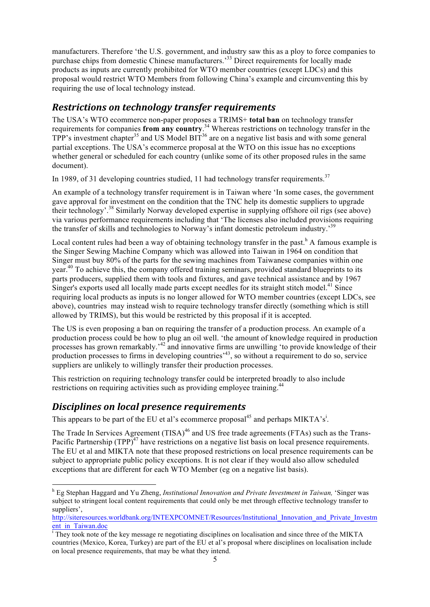manufacturers. Therefore 'the U.S. government, and industry saw this as a ploy to force companies to purchase chips from domestic Chinese manufacturers.<sup>33</sup> Direct requirements for locally made products as inputs are currently prohibited for WTO member countries (except LDCs) and this proposal would restrict WTO Members from following China's example and circumventing this by requiring the use of local technology instead.

## *Restrictions on technology transfer requirements*

The USA's WTO ecommerce non-paper proposes a TRIMS+ **total ban** on technology transfer requirements for companies **from any country**. <sup>34</sup> Whereas restrictions on technology transfer in the TPP's investment chapter<sup>35</sup> and US Model BIT<sup>36</sup> are on a negative list basis and with some general partial exceptions. The USA's ecommerce proposal at the WTO on this issue has no exceptions whether general or scheduled for each country (unlike some of its other proposed rules in the same document).

In 1989, of 31 developing countries studied, 11 had technology transfer requirements.<sup>37</sup>

An example of a technology transfer requirement is in Taiwan where 'In some cases, the government gave approval for investment on the condition that the TNC help its domestic suppliers to upgrade their technology'.<sup>38</sup> Similarly Norway developed expertise in supplying offshore oil rigs (see above) via various performance requirements including that 'The licenses also included provisions requiring the transfer of skills and technologies to Norway's infant domestic petroleum industry.'<sup>39</sup>

Local content rules had been a way of obtaining technology transfer in the past.<sup>h</sup> A famous example is the Singer Sewing Machine Company which was allowed into Taiwan in 1964 on condition that Singer must buy 80% of the parts for the sewing machines from Taiwanese companies within one year.<sup>40</sup> To achieve this, the company offered training seminars, provided standard blueprints to its parts producers, supplied them with tools and fixtures, and gave technical assistance and by 1967 Singer's exports used all locally made parts except needles for its straight stitch model.<sup>41</sup> Since requiring local products as inputs is no longer allowed for WTO member countries (except LDCs, see above), countries may instead wish to require technology transfer directly (something which is still allowed by TRIMS), but this would be restricted by this proposal if it is accepted.

The US is even proposing a ban on requiring the transfer of a production process. An example of a production process could be how to plug an oil well. 'the amount of knowledge required in production processes has grown remarkably.'<sup>42</sup> and innovative firms are unwilling 'to provide knowledge of their production processes to firms in developing countries<sup> $,43$ </sup>, so without a requirement to do so, service suppliers are unlikely to willingly transfer their production processes.

This restriction on requiring technology transfer could be interpreted broadly to also include restrictions on requiring activities such as providing employee training.<sup>44</sup>

## *Disciplines on local presence requirements*

This appears to be part of the EU et al's ecommerce proposal<sup>45</sup> and perhaps MIKTA's<sup>i</sup>.

The Trade In Services Agreement (TISA)<sup>46</sup> and US free trade agreements (FTAs) such as the Trans-Pacific Partnership  $(TPP)^{47}$  have restrictions on a negative list basis on local presence requirements. The EU et al and MIKTA note that these proposed restrictions on local presence requirements can be subject to appropriate public policy exceptions. It is not clear if they would also allow scheduled exceptions that are different for each WTO Member (eg on a negative list basis).

h Eg Stephan Haggard and Yu Zheng, *Institutional Innovation and Private Investment in Taiwan,* 'Singer was subject to stringent local content requirements that could only be met through effective technology transfer to suppliers',

http://siteresources.worldbank.org/INTEXPCOMNET/Resources/Institutional\_Innovation\_and\_Private\_Investm ent\_in\_Taiwan.doc

<sup>&</sup>lt;sup>i</sup> They took note of the key message re negotiating disciplines on localisation and since three of the MIKTA countries (Mexico, Korea, Turkey) are part of the EU et al's proposal where disciplines on localisation include on local presence requirements, that may be what they intend.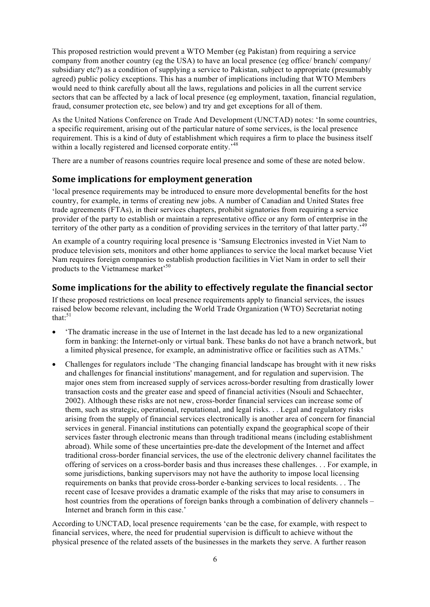This proposed restriction would prevent a WTO Member (eg Pakistan) from requiring a service company from another country (eg the USA) to have an local presence (eg office/ branch/ company/ subsidiary etc?) as a condition of supplying a service to Pakistan, subject to appropriate (presumably agreed) public policy exceptions. This has a number of implications including that WTO Members would need to think carefully about all the laws, regulations and policies in all the current service sectors that can be affected by a lack of local presence (eg employment, taxation, financial regulation, fraud, consumer protection etc, see below) and try and get exceptions for all of them.

As the United Nations Conference on Trade And Development (UNCTAD) notes: 'In some countries, a specific requirement, arising out of the particular nature of some services, is the local presence requirement. This is a kind of duty of establishment which requires a firm to place the business itself within a locally registered and licensed corporate entity.<sup>48</sup>

There are a number of reasons countries require local presence and some of these are noted below.

#### **Some implications for employment generation**

'local presence requirements may be introduced to ensure more developmental benefits for the host country, for example, in terms of creating new jobs. A number of Canadian and United States free trade agreements (FTAs), in their services chapters, prohibit signatories from requiring a service provider of the party to establish or maintain a representative office or any form of enterprise in the territory of the other party as a condition of providing services in the territory of that latter party.'<sup>49</sup>

An example of a country requiring local presence is 'Samsung Electronics invested in Viet Nam to produce television sets, monitors and other home appliances to service the local market because Viet Nam requires foreign companies to establish production facilities in Viet Nam in order to sell their products to the Vietnamese market<sup>50</sup>

#### **Some implications for the ability to effectively regulate the financial sector**

If these proposed restrictions on local presence requirements apply to financial services, the issues raised below become relevant, including the World Trade Organization (WTO) Secretariat noting that: $51$ 

- 'The dramatic increase in the use of Internet in the last decade has led to a new organizational form in banking: the Internet-only or virtual bank. These banks do not have a branch network, but a limited physical presence, for example, an administrative office or facilities such as ATMs.'
- Challenges for regulators include 'The changing financial landscape has brought with it new risks and challenges for financial institutions' management, and for regulation and supervision. The major ones stem from increased supply of services across-border resulting from drastically lower transaction costs and the greater ease and speed of financial activities (Nsouli and Schaechter, 2002). Although these risks are not new, cross-border financial services can increase some of them, such as strategic, operational, reputational, and legal risks. . . Legal and regulatory risks arising from the supply of financial services electronically is another area of concern for financial services in general. Financial institutions can potentially expand the geographical scope of their services faster through electronic means than through traditional means (including establishment abroad). While some of these uncertainties pre-date the development of the Internet and affect traditional cross-border financial services, the use of the electronic delivery channel facilitates the offering of services on a cross-border basis and thus increases these challenges. . . For example, in some jurisdictions, banking supervisors may not have the authority to impose local licensing requirements on banks that provide cross-border e-banking services to local residents. . . The recent case of Icesave provides a dramatic example of the risks that may arise to consumers in host countries from the operations of foreign banks through a combination of delivery channels – Internet and branch form in this case.'

According to UNCTAD, local presence requirements 'can be the case, for example, with respect to financial services, where, the need for prudential supervision is difficult to achieve without the physical presence of the related assets of the businesses in the markets they serve. A further reason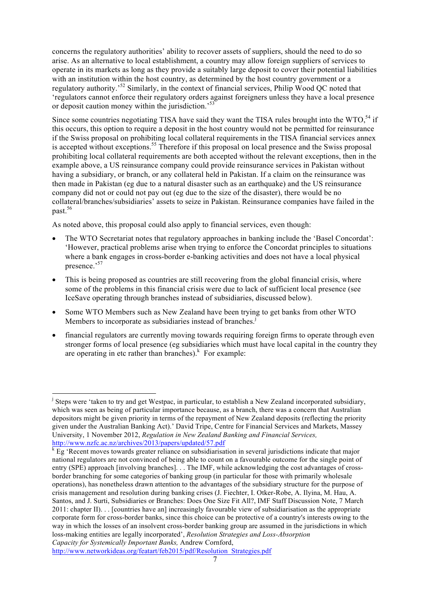concerns the regulatory authorities' ability to recover assets of suppliers, should the need to do so arise. As an alternative to local establishment, a country may allow foreign suppliers of services to operate in its markets as long as they provide a suitably large deposit to cover their potential liabilities with an institution within the host country, as determined by the host country government or a regulatory authority.'<sup>52</sup> Similarly, in the context of financial services, Philip Wood QC noted that 'regulators cannot enforce their regulatory orders against foreigners unless they have a local presence or deposit caution money within the jurisdiction.<sup>55</sup>

Since some countries negotiating TISA have said they want the TISA rules brought into the WTO.<sup>54</sup> if this occurs, this option to require a deposit in the host country would not be permitted for reinsurance if the Swiss proposal on prohibiting local collateral requirements in the TISA financial services annex is accepted without exceptions.<sup>55</sup> Therefore if this proposal on local presence and the Swiss proposal prohibiting local collateral requirements are both accepted without the relevant exceptions, then in the example above, a US reinsurance company could provide reinsurance services in Pakistan without having a subsidiary, or branch, or any collateral held in Pakistan. If a claim on the reinsurance was then made in Pakistan (eg due to a natural disaster such as an earthquake) and the US reinsurance company did not or could not pay out (eg due to the size of the disaster), there would be no collateral/branches/subsidiaries' assets to seize in Pakistan. Reinsurance companies have failed in the past.56

As noted above, this proposal could also apply to financial services, even though:

- The WTO Secretariat notes that regulatory approaches in banking include the 'Basel Concordat': 'However, practical problems arise when trying to enforce the Concordat principles to situations where a bank engages in cross-border e-banking activities and does not have a local physical presence.'<sup>57</sup>
- This is being proposed as countries are still recovering from the global financial crisis, where some of the problems in this financial crisis were due to lack of sufficient local presence (see IceSave operating through branches instead of subsidiaries, discussed below).
- Some WTO Members such as New Zealand have been trying to get banks from other WTO Members to incorporate as subsidiaries instead of branches.<sup>j</sup>
- financial regulators are currently moving towards requiring foreign firms to operate through even stronger forms of local presence (eg subsidiaries which must have local capital in the country they are operating in etc rather than branches). $k$  For example:

<sup>|&</sup>lt;br>j <sup>j</sup> Steps were 'taken to try and get Westpac, in particular, to establish a New Zealand incorporated subsidiary, which was seen as being of particular importance because, as a branch, there was a concern that Australian depositors might be given priority in terms of the repayment of New Zealand deposits (reflecting the priority given under the Australian Banking Act).' David Tripe, Centre for Financial Services and Markets, Massey University, 1 November 2012, *Regulation in New Zealand Banking and Financial Services,*

http://www.nzfc.ac.nz/archives/2013/papers/updated/57.pdf<br>
Eg 'Recent moves towards greater reliance on subsidiarisation in several jurisdictions indicate that major national regulators are not convinced of being able to count on a favourable outcome for the single point of entry (SPE) approach [involving branches]. . . The IMF, while acknowledging the cost advantages of crossborder branching for some categories of banking group (in particular for those with primarily wholesale operations), has nonetheless drawn attention to the advantages of the subsidiary structure for the purpose of crisis management and resolution during banking crises (J. Fiechter, I. Otker-Robe, A. Ilyina, M. Hau, A. Santos, and J. Surti, Subsidiaries or Branches: Does One Size Fit All?, IMF Staff Discussion Note, 7 March 2011: chapter II). . . [countries have an] increasingly favourable view of subsidiarisation as the appropriate corporate form for cross-border banks, since this choice can be protective of a country's interests owing to the way in which the losses of an insolvent cross-border banking group are assumed in the jurisdictions in which loss-making entities are legally incorporated', *Resolution Strategies and Loss-Absorption Capacity for Systemically Important Banks,* Andrew Cornford,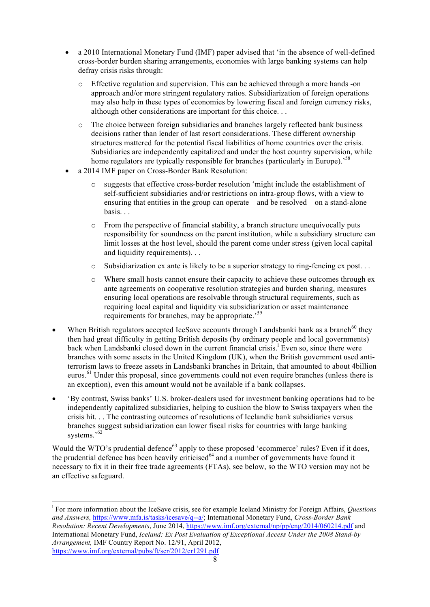- a 2010 International Monetary Fund (IMF) paper advised that 'in the absence of well-defined cross-border burden sharing arrangements, economies with large banking systems can help defray crisis risks through:
	- o Effective regulation and supervision. This can be achieved through a more hands -on approach and/or more stringent regulatory ratios. Subsidiarization of foreign operations may also help in these types of economies by lowering fiscal and foreign currency risks, although other considerations are important for this choice. . .
	- o The choice between foreign subsidiaries and branches largely reflected bank business decisions rather than lender of last resort considerations. These different ownership structures mattered for the potential fiscal liabilities of home countries over the crisis. Subsidiaries are independently capitalized and under the host country supervision, while home regulators are typically responsible for branches (particularly in Europe).<sup>58</sup>
- a 2014 IMF paper on Cross-Border Bank Resolution:
	- o suggests that effective cross-border resolution 'might include the establishment of self-sufficient subsidiaries and/or restrictions on intra-group flows, with a view to ensuring that entities in the group can operate—and be resolved—on a stand-alone basis. . .
	- o From the perspective of financial stability, a branch structure unequivocally puts responsibility for soundness on the parent institution, while a subsidiary structure can limit losses at the host level, should the parent come under stress (given local capital and liquidity requirements). . .
	- $\circ$  Subsidiarization ex ante is likely to be a superior strategy to ring-fencing ex post...
	- $\circ$  Where small hosts cannot ensure their capacity to achieve these outcomes through ex ante agreements on cooperative resolution strategies and burden sharing, measures ensuring local operations are resolvable through structural requirements, such as requiring local capital and liquidity via subsidiarization or asset maintenance requirements for branches, may be appropriate.<sup>59</sup>
- When British regulators accepted IceSave accounts through Landsbanki bank as a branch<sup>60</sup> they then had great difficulty in getting British deposits (by ordinary people and local governments) back when Landsbanki closed down in the current financial crisis.<sup>1</sup> Even so, since there were branches with some assets in the United Kingdom (UK), when the British government used antiterrorism laws to freeze assets in Landsbanki branches in Britain, that amounted to about 4billion euros.<sup>61</sup> Under this proposal, since governments could not even require branches (unless there is an exception), even this amount would not be available if a bank collapses.
- 'By contrast, Swiss banks' U.S. broker-dealers used for investment banking operations had to be independently capitalized subsidiaries, helping to cushion the blow to Swiss taxpayers when the crisis hit. . . The contrasting outcomes of resolutions of Icelandic bank subsidiaries versus branches suggest subsidiarization can lower fiscal risks for countries with large banking systems.'<sup>62</sup>

Would the WTO's prudential defence<sup>63</sup> apply to these proposed 'ecommerce' rules? Even if it does, the prudential defence has been heavily criticised<sup>64</sup> and a number of governments have found it necessary to fix it in their free trade agreements (FTAs), see below, so the WTO version may not be an effective safeguard.

 $\frac{1}{1}$ For more information about the IceSave crisis, see for example Iceland Ministry for Foreign Affairs, *Questions and Answers,* https://www.mfa.is/tasks/icesave/q--a/; International Monetary Fund, *Cross-Border Bank Resolution: Recent Developments*, June 2014, https://www.imf.org/external/np/pp/eng/2014/060214.pdf and International Monetary Fund, *Iceland: Ex Post Evaluation of Exceptional Access Under the 2008 Stand-by Arrangement,* IMF Country Report No. 12/91, April 2012, https://www.imf.org/external/pubs/ft/scr/2012/cr1291.pdf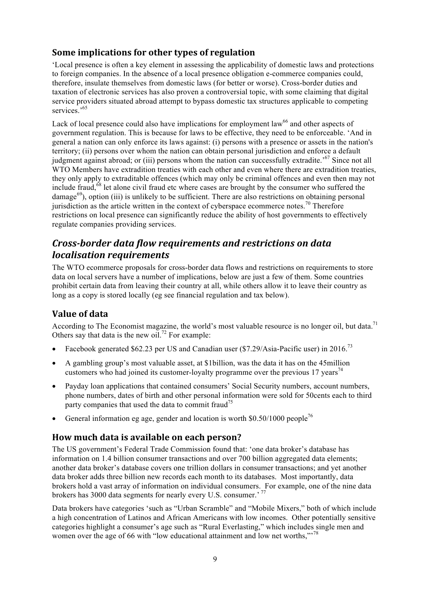#### **Some implications for other types of regulation**

'Local presence is often a key element in assessing the applicability of domestic laws and protections to foreign companies. In the absence of a local presence obligation e-commerce companies could, therefore, insulate themselves from domestic laws (for better or worse). Cross-border duties and taxation of electronic services has also proven a controversial topic, with some claiming that digital service providers situated abroad attempt to bypass domestic tax structures applicable to competing services.<sup>65</sup>

Lack of local presence could also have implications for employment law<sup>66</sup> and other aspects of government regulation. This is because for laws to be effective, they need to be enforceable. 'And in general a nation can only enforce its laws against: (i) persons with a presence or assets in the nation's territory; (ii) persons over whom the nation can obtain personal jurisdiction and enforce a default judgment against abroad; or (iii) persons whom the nation can successfully extradite.<sup>'67</sup> Since not all WTO Members have extradition treaties with each other and even where there are extradition treaties, they only apply to extraditable offences (which may only be criminal offences and even then may not include fraud,<sup>68</sup> let alone civil fraud etc where cases are brought by the consumer who suffered the  $\theta^{(9)}$ , option (iii) is unlikely to be sufficient. There are also restrictions on obtaining personal jurisdiction as the article written in the context of cyberspace ecommerce notes.<sup>70</sup> Therefore restrictions on local presence can significantly reduce the ability of host governments to effectively regulate companies providing services.

# *Cross-border data flow requirements and restrictions on data localisation requirements*

The WTO ecommerce proposals for cross-border data flows and restrictions on requirements to store data on local servers have a number of implications, below are just a few of them. Some countries prohibit certain data from leaving their country at all, while others allow it to leave their country as long as a copy is stored locally (eg see financial regulation and tax below).

#### **Value of data**

According to The Economist magazine, the world's most valuable resource is no longer oil, but data.<sup>71</sup> Others say that data is the new oil.<sup>72</sup> For example:

- Facebook generated \$62.23 per US and Canadian user  $(\$7.29/A$ sia-Pacific user) in 2016.<sup>73</sup>
- A gambling group's most valuable asset, at \$1billion, was the data it has on the 45million customers who had joined its customer-loyalty programme over the previous 17 years<sup>74</sup>
- Payday loan applications that contained consumers' Social Security numbers, account numbers, phone numbers, dates of birth and other personal information were sold for 50cents each to third party companies that used the data to commit fraud<sup>75</sup>
- General information eg age, gender and location is worth  $$0.50/1000$  people<sup>76</sup>

## How much data is available on each person?

The US government's Federal Trade Commission found that: 'one data broker's database has information on 1.4 billion consumer transactions and over 700 billion aggregated data elements; another data broker's database covers one trillion dollars in consumer transactions; and yet another data broker adds three billion new records each month to its databases. Most importantly, data brokers hold a vast array of information on individual consumers. For example, one of the nine data brokers has 3000 data segments for nearly every U.S. consumer.' <sup>77</sup>

Data brokers have categories 'such as "Urban Scramble" and "Mobile Mixers," both of which include a high concentration of Latinos and African Americans with low incomes. Other potentially sensitive categories highlight a consumer's age such as "Rural Everlasting," which includes single men and women over the age of 66 with "low educational attainment and low net worths,"<sup>78</sup>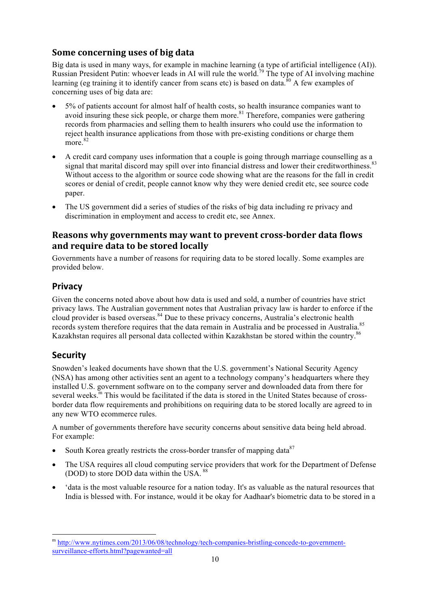### **Some concerning uses of big data**

Big data is used in many ways, for example in machine learning (a type of artificial intelligence (AI)). Russian President Putin: whoever leads in AI will rule the world.<sup>79</sup> The type of AI involving machine learning (eg training it to identify cancer from scans etc) is based on data.<sup>80</sup> A few examples of concerning uses of big data are:

- 5% of patients account for almost half of health costs, so health insurance companies want to avoid insuring these sick people, or charge them more.<sup>81</sup> Therefore, companies were gathering records from pharmacies and selling them to health insurers who could use the information to reject health insurance applications from those with pre-existing conditions or charge them more.<sup>82</sup>
- A credit card company uses information that a couple is going through marriage counselling as a signal that marital discord may spill over into financial distress and lower their creditworthiness.<sup>83</sup> Without access to the algorithm or source code showing what are the reasons for the fall in credit scores or denial of credit, people cannot know why they were denied credit etc, see source code paper.
- The US government did a series of studies of the risks of big data including re privacy and discrimination in employment and access to credit etc, see Annex.

## **Reasons why governments may want to prevent cross-border data flows** and require data to be stored locally

Governments have a number of reasons for requiring data to be stored locally. Some examples are provided below.

# **Privacy**

Given the concerns noted above about how data is used and sold, a number of countries have strict privacy laws. The Australian government notes that Australian privacy law is harder to enforce if the cloud provider is based overseas.<sup>84</sup> Due to these privacy concerns, Australia's electronic health records system therefore requires that the data remain in Australia and be processed in Australia.<sup>85</sup> Kazakhstan requires all personal data collected within Kazakhstan be stored within the country.<sup>86</sup>

## **Security**

Snowden's leaked documents have shown that the U.S. government's National Security Agency (NSA) has among other activities sent an agent to a technology company's headquarters where they installed U.S. government software on to the company server and downloaded data from there for several weeks.<sup>m</sup> This would be facilitated if the data is stored in the United States because of crossborder data flow requirements and prohibitions on requiring data to be stored locally are agreed to in any new WTO ecommerce rules.

A number of governments therefore have security concerns about sensitive data being held abroad. For example:

- South Korea greatly restricts the cross-border transfer of mapping data  $87$
- The USA requires all cloud computing service providers that work for the Department of Defense (DOD) to store DOD data within the USA.<sup>88</sup>
- 'data is the most valuable resource for a nation today. It's as valuable as the natural resources that India is blessed with. For instance, would it be okay for Aadhaar's biometric data to be stored in a

m http://www.nytimes.com/2013/06/08/technology/tech-companies-bristling-concede-to-governmentsurveillance-efforts.html?pagewanted=all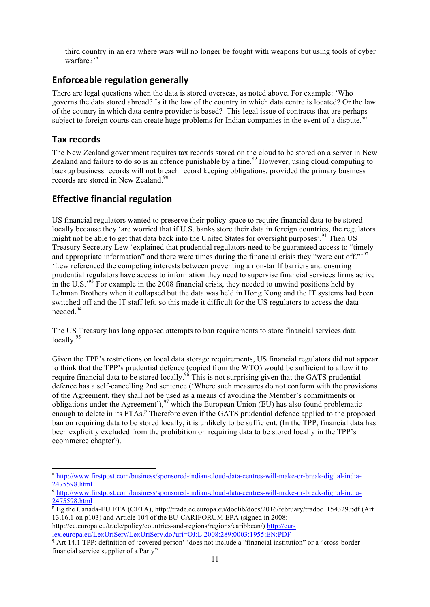third country in an era where wars will no longer be fought with weapons but using tools of cyber warfare?'<sup>n</sup>

#### **Enforceable regulation generally**

There are legal questions when the data is stored overseas, as noted above. For example: 'Who governs the data stored abroad? Is it the law of the country in which data centre is located? Or the law of the country in which data centre provider is based? This legal issue of contracts that are perhaps subject to foreign courts can create huge problems for Indian companies in the event of a dispute.<sup>'o</sup>

#### **Tax records**

The New Zealand government requires tax records stored on the cloud to be stored on a server in New Zealand and failure to do so is an offence punishable by a fine.<sup>89</sup> However, using cloud computing to backup business records will not breach record keeping obligations, provided the primary business records are stored in New Zealand.<sup>90</sup>

# **Effective financial regulation**

US financial regulators wanted to preserve their policy space to require financial data to be stored locally because they 'are worried that if U.S. banks store their data in foreign countries, the regulators might not be able to get that data back into the United States for oversight purposes'.<sup>91</sup> Then US Treasury Secretary Lew 'explained that prudential regulators need to be guaranteed access to "timely and appropriate information" and there were times during the financial crisis they "were cut off."<sup>92</sup> 'Lew referenced the competing interests between preventing a non-tariff barriers and ensuring prudential regulators have access to information they need to supervise financial services firms active in the U.S.<sup>'93</sup> For example in the 2008 financial crisis, they needed to unwind positions held by Lehman Brothers when it collapsed but the data was held in Hong Kong and the IT systems had been switched off and the IT staff left, so this made it difficult for the US regulators to access the data needed.94

The US Treasury has long opposed attempts to ban requirements to store financial services data locally.<sup>95</sup>

Given the TPP's restrictions on local data storage requirements, US financial regulators did not appear to think that the TPP's prudential defence (copied from the WTO) would be sufficient to allow it to require financial data to be stored locally.<sup>96</sup> This is not surprising given that the GATS prudential defence has a self-cancelling 2nd sentence ('Where such measures do not conform with the provisions of the Agreement, they shall not be used as a means of avoiding the Member's commitments or obligations under the Agreement'),<sup>97</sup> which the European Union (EU) has also found problematic enough to delete in its FTAs.<sup>p</sup> Therefore even if the GATS prudential defence applied to the proposed ban on requiring data to be stored locally, it is unlikely to be sufficient. (In the TPP, financial data has been explicitly excluded from the prohibition on requiring data to be stored locally in the TPP's ecommerce chapter<sup>q</sup>).

n http://www.firstpost.com/business/sponsored-indian-cloud-data-centres-will-make-or-break-digital-india-2475598.html

<sup>&</sup>lt;sup>o</sup> http://www.firstpost.com/business/sponsored-indian-cloud-data-centres-will-make-or-break-digital-india-2475598.html

 $\frac{p}{p}$  Eg the Canada-EU FTA (CETA), http://trade.ec.europa.eu/doclib/docs/2016/february/tradoc\_154329.pdf (Art 13.16.1 on p103) and Article 104 of the EU-CARIFORUM EPA (signed in 2008:

http://ec.europa.eu/trade/policy/countries-and-regions/regions/caribbean/) http://eurlex.europa.eu/LexUriServ/LexUriServ.do?uri=OJ:L:2008:289:0003:1955:EN:PDF <sup>q</sup> Art 14.1 TPP: definition of 'covered person' 'does not include a "financial institution" or a "cross-border

financial service supplier of a Party"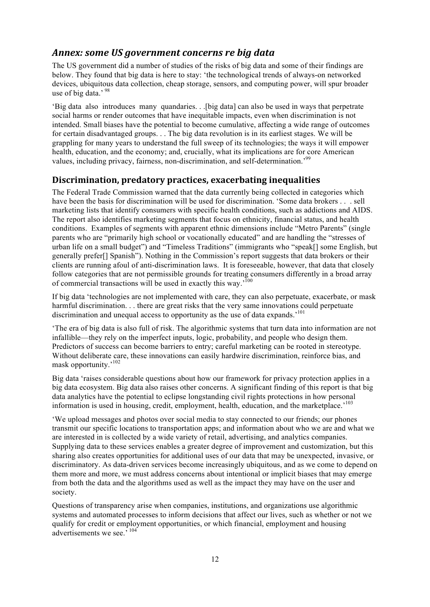### Annex: some *US* government concerns re big data

The US government did a number of studies of the risks of big data and some of their findings are below. They found that big data is here to stay: 'the technological trends of always-on networked devices, ubiquitous data collection, cheap storage, sensors, and computing power, will spur broader use of big data.' 98

'Big data also introduces many quandaries. . .[big data] can also be used in ways that perpetrate social harms or render outcomes that have inequitable impacts, even when discrimination is not intended. Small biases have the potential to become cumulative, affecting a wide range of outcomes for certain disadvantaged groups. . . The big data revolution is in its earliest stages. We will be grappling for many years to understand the full sweep of its technologies; the ways it will empower health, education, and the economy; and, crucially, what its implications are for core American values, including privacy, fairness, non-discrimination, and self-determination.'99

#### **Discrimination, predatory practices, exacerbating inequalities**

The Federal Trade Commission warned that the data currently being collected in categories which have been the basis for discrimination will be used for discrimination. 'Some data brokers . . . sell marketing lists that identify consumers with specific health conditions, such as addictions and AIDS. The report also identifies marketing segments that focus on ethnicity, financial status, and health conditions. Examples of segments with apparent ethnic dimensions include "Metro Parents" (single parents who are "primarily high school or vocationally educated" and are handling the "stresses of urban life on a small budget") and "Timeless Traditions" (immigrants who "speak[] some English, but generally prefer[] Spanish"). Nothing in the Commission's report suggests that data brokers or their clients are running afoul of anti-discrimination laws. It is foreseeable, however, that data that closely follow categories that are not permissible grounds for treating consumers differently in a broad array of commercial transactions will be used in exactly this way.'100

If big data 'technologies are not implemented with care, they can also perpetuate, exacerbate, or mask harmful discrimination. . . there are great risks that the very same innovations could perpetuate discrimination and unequal access to opportunity as the use of data expands.<sup> $101$ </sup>

'The era of big data is also full of risk. The algorithmic systems that turn data into information are not infallible—they rely on the imperfect inputs, logic, probability, and people who design them. Predictors of success can become barriers to entry; careful marketing can be rooted in stereotype. Without deliberate care, these innovations can easily hardwire discrimination, reinforce bias, and mask opportunity.'<sup>102</sup>

Big data 'raises considerable questions about how our framework for privacy protection applies in a big data ecosystem. Big data also raises other concerns. A significant finding of this report is that big data analytics have the potential to eclipse longstanding civil rights protections in how personal information is used in housing, credit, employment, health, education, and the marketplace.<sup>103</sup>

'We upload messages and photos over social media to stay connected to our friends; our phones transmit our specific locations to transportation apps; and information about who we are and what we are interested in is collected by a wide variety of retail, advertising, and analytics companies. Supplying data to these services enables a greater degree of improvement and customization, but this sharing also creates opportunities for additional uses of our data that may be unexpected, invasive, or discriminatory. As data-driven services become increasingly ubiquitous, and as we come to depend on them more and more, we must address concerns about intentional or implicit biases that may emerge from both the data and the algorithms used as well as the impact they may have on the user and society.

Questions of transparency arise when companies, institutions, and organizations use algorithmic systems and automated processes to inform decisions that affect our lives, such as whether or not we qualify for credit or employment opportunities, or which financial, employment and housing advertisements we see.' <sup>104</sup>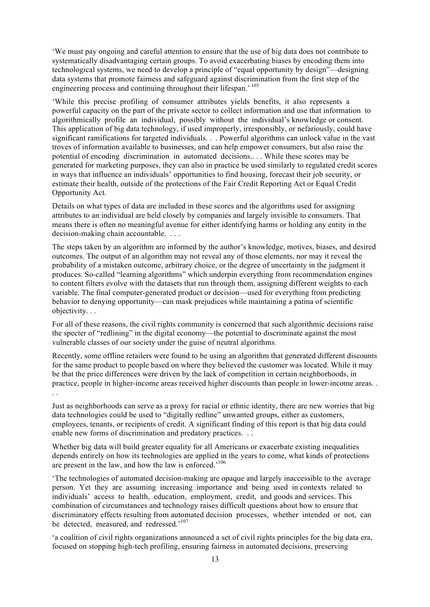'We must pay ongoing and careful attention to ensure that the use of big data does not contribute to systematically disadvantaging certain groups. To avoid exacerbating biases by encoding them into technological systems, we need to develop a principle of "equal opportunity by design"—designing data systems that promote fairness and safeguard against discrimination from the first step of the engineering process and continuing throughout their lifespan.<sup>' 105</sup>

'While this precise profiling of consumer attributes yields benefits, it also represents a powerful capacity on the part of the private sector to collect information and use that information to algorithmically profile an individual, possibly without the individual's knowledge or consent. This application of big data technology, if used improperly, irresponsibly, or nefariously, could have significant ramifications for targeted individuals. . . Powerful algorithms can unlock value in the vast troves of information available to businesses, and can help empower consumers, but also raise the potential of encoding discrimination in automated decisions.. . . While these scores may be generated for marketing purposes, they can also in practice be used similarly to regulated credit scores in ways that influence an individuals' opportunities to find housing, forecast their job security, or estimate their health, outside of the protections of the Fair Credit Reporting Act or Equal Credit Opportunity Act.

Details on what types of data are included in these scores and the algorithms used for assigning attributes to an individual are held closely by companies and largely invisible to consumers. That means there is often no meaningful avenue for either identifying harms or holding any entity in the decision-making chain accountable. . . .

The steps taken by an algorithm are informed by the author's knowledge, motives, biases, and desired outcomes. The output of an algorithm may not reveal any of those elements, nor may it reveal the probability of a mistaken outcome, arbitrary choice, or the degree of uncertainty in the judgment it produces. So-called "learning algorithms" which underpin everything from recommendation engines to content filters evolve with the datasets that run through them, assigning different weights to each variable. The final computer-generated product or decision—used for everything from predicting behavior to denying opportunity—can mask prejudices while maintaining a patina of scientific objectivity. . .

For all of these reasons, the civil rights community is concerned that such algorithmic decisions raise the specter of "redlining" in the digital economy—the potential to discriminate against the most vulnerable classes of our society under the guise of neutral algorithms.

Recently, some offline retailers were found to be using an algorithm that generated different discounts for the same product to people based on where they believed the customer was located. While it may be that the price differences were driven by the lack of competition in certain neighborhoods, in practice, people in higher-income areas received higher discounts than people in lower-income areas. .

Just as neighborhoods can serve as a proxy for racial or ethnic identity, there are new worries that big data technologies could be used to "digitally redline" unwanted groups, either as customers, employees, tenants, or recipients of credit. A significant finding of this report is that big data could enable new forms of discrimination and predatory practices. . .

Whether big data will build greater equality for all Americans or exacerbate existing inequalities depends entirely on how its technologies are applied in the years to come, what kinds of protections are present in the law, and how the law is enforced.<sup>'106</sup>

'The technologies of automated decision-making are opaque and largely inaccessible to the average person. Yet they are assuming increasing importance and being used in contexts related to individuals' access to health, education, employment, credit, and goods and services. This combination of circumstances and technology raises difficult questions about how to ensure that discriminatory effects resulting from automated decision processes, whether intended or not, can be detected, measured, and redressed.<sup>'107</sup>

'a coalition of civil rights organizations announced a set of civil rights principles for the big data era, focused on stopping high-tech profiling, ensuring fairness in automated decisions, preserving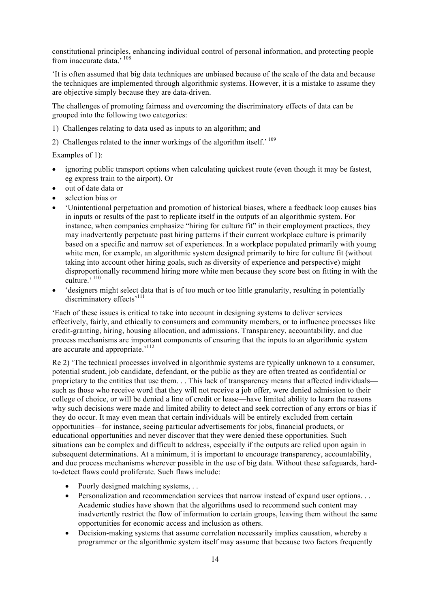constitutional principles, enhancing individual control of personal information, and protecting people from inaccurate data,  $10\frac{8}{3}$ 

'It is often assumed that big data techniques are unbiased because of the scale of the data and because the techniques are implemented through algorithmic systems. However, it is a mistake to assume they are objective simply because they are data-driven.

The challenges of promoting fairness and overcoming the discriminatory effects of data can be grouped into the following two categories:

- 1) Challenges relating to data used as inputs to an algorithm; and
- 2) Challenges related to the inner workings of the algorithm itself.<sup>' 109</sup>

Examples of 1):

- ignoring public transport options when calculating quickest route (even though it may be fastest, eg express train to the airport). Or
- out of date data or
- selection bias or
- 'Unintentional perpetuation and promotion of historical biases, where a feedback loop causes bias in inputs or results of the past to replicate itself in the outputs of an algorithmic system. For instance, when companies emphasize "hiring for culture fit" in their employment practices, they may inadvertently perpetuate past hiring patterns if their current workplace culture is primarily based on a specific and narrow set of experiences. In a workplace populated primarily with young white men, for example, an algorithmic system designed primarily to hire for culture fit (without taking into account other hiring goals, such as diversity of experience and perspective) might disproportionally recommend hiring more white men because they score best on fitting in with the culture.'<sup>110</sup>
- 'designers might select data that is of too much or too little granularity, resulting in potentially discriminatory effects'<sup>111</sup>

'Each of these issues is critical to take into account in designing systems to deliver services effectively, fairly, and ethically to consumers and community members, or to influence processes like credit-granting, hiring, housing allocation, and admissions. Transparency, accountability, and due process mechanisms are important components of ensuring that the inputs to an algorithmic system are accurate and appropriate.<sup>'112</sup>

Re 2) 'The technical processes involved in algorithmic systems are typically unknown to a consumer, potential student, job candidate, defendant, or the public as they are often treated as confidential or proprietary to the entities that use them. . . This lack of transparency means that affected individuals such as those who receive word that they will not receive a job offer, were denied admission to their college of choice, or will be denied a line of credit or lease—have limited ability to learn the reasons why such decisions were made and limited ability to detect and seek correction of any errors or bias if they do occur. It may even mean that certain individuals will be entirely excluded from certain opportunities—for instance, seeing particular advertisements for jobs, financial products, or educational opportunities and never discover that they were denied these opportunities. Such situations can be complex and difficult to address, especially if the outputs are relied upon again in subsequent determinations. At a minimum, it is important to encourage transparency, accountability, and due process mechanisms wherever possible in the use of big data. Without these safeguards, hardto-detect flaws could proliferate. Such flaws include:

- Poorly designed matching systems, ...
- Personalization and recommendation services that narrow instead of expand user options. . . Academic studies have shown that the algorithms used to recommend such content may inadvertently restrict the flow of information to certain groups, leaving them without the same opportunities for economic access and inclusion as others.
- Decision-making systems that assume correlation necessarily implies causation, whereby a programmer or the algorithmic system itself may assume that because two factors frequently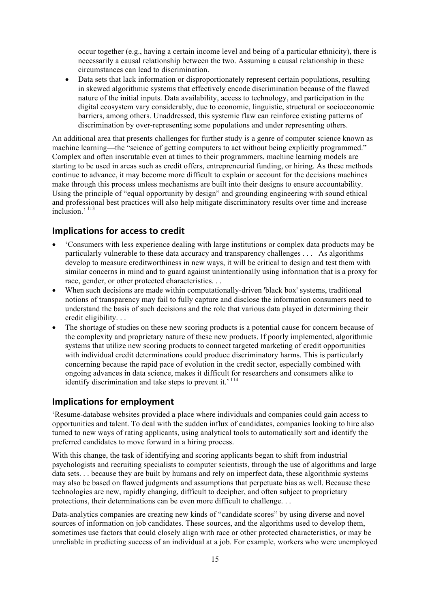occur together (e.g., having a certain income level and being of a particular ethnicity), there is necessarily a causal relationship between the two. Assuming a causal relationship in these circumstances can lead to discrimination.

• Data sets that lack information or disproportionately represent certain populations, resulting in skewed algorithmic systems that effectively encode discrimination because of the flawed nature of the initial inputs. Data availability, access to technology, and participation in the digital ecosystem vary considerably, due to economic, linguistic, structural or socioeconomic barriers, among others. Unaddressed, this systemic flaw can reinforce existing patterns of discrimination by over-representing some populations and under representing others.

An additional area that presents challenges for further study is a genre of computer science known as machine learning—the "science of getting computers to act without being explicitly programmed." Complex and often inscrutable even at times to their programmers, machine learning models are starting to be used in areas such as credit offers, entrepreneurial funding, or hiring. As these methods continue to advance, it may become more difficult to explain or account for the decisions machines make through this process unless mechanisms are built into their designs to ensure accountability. Using the principle of "equal opportunity by design" and grounding engineering with sound ethical and professional best practices will also help mitigate discriminatory results over time and increase  $inclusion$ <sup>, 113</sup>

#### **Implications for access to credit**

- 'Consumers with less experience dealing with large institutions or complex data products may be particularly vulnerable to these data accuracy and transparency challenges . . . As algorithms develop to measure creditworthiness in new ways, it will be critical to design and test them with similar concerns in mind and to guard against unintentionally using information that is a proxy for race, gender, or other protected characteristics. . .
- When such decisions are made within computationally-driven 'black box' systems, traditional notions of transparency may fail to fully capture and disclose the information consumers need to understand the basis of such decisions and the role that various data played in determining their credit eligibility. . .
- The shortage of studies on these new scoring products is a potential cause for concern because of the complexity and proprietary nature of these new products. If poorly implemented, algorithmic systems that utilize new scoring products to connect targeted marketing of credit opportunities with individual credit determinations could produce discriminatory harms. This is particularly concerning because the rapid pace of evolution in the credit sector, especially combined with ongoing advances in data science, makes it difficult for researchers and consumers alike to identify discrimination and take steps to prevent it.<sup>'114</sup>

#### **Implications for employment**

'Resume-database websites provided a place where individuals and companies could gain access to opportunities and talent. To deal with the sudden influx of candidates, companies looking to hire also turned to new ways of rating applicants, using analytical tools to automatically sort and identify the preferred candidates to move forward in a hiring process.

With this change, the task of identifying and scoring applicants began to shift from industrial psychologists and recruiting specialists to computer scientists, through the use of algorithms and large data sets. . . because they are built by humans and rely on imperfect data, these algorithmic systems may also be based on flawed judgments and assumptions that perpetuate bias as well. Because these technologies are new, rapidly changing, difficult to decipher, and often subject to proprietary protections, their determinations can be even more difficult to challenge. . .

Data-analytics companies are creating new kinds of "candidate scores" by using diverse and novel sources of information on job candidates. These sources, and the algorithms used to develop them, sometimes use factors that could closely align with race or other protected characteristics, or may be unreliable in predicting success of an individual at a job. For example, workers who were unemployed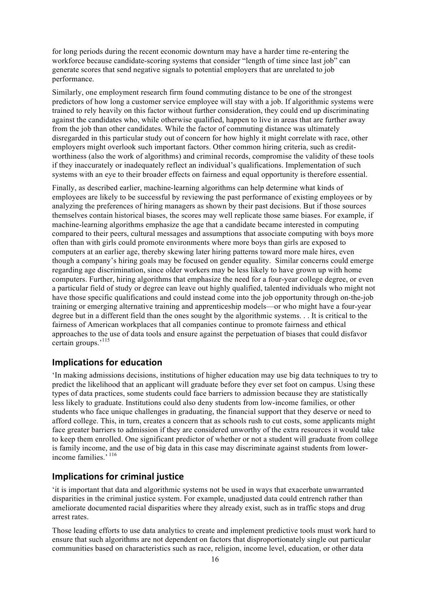for long periods during the recent economic downturn may have a harder time re-entering the workforce because candidate-scoring systems that consider "length of time since last job" can generate scores that send negative signals to potential employers that are unrelated to job performance.

Similarly, one employment research firm found commuting distance to be one of the strongest predictors of how long a customer service employee will stay with a job. If algorithmic systems were trained to rely heavily on this factor without further consideration, they could end up discriminating against the candidates who, while otherwise qualified, happen to live in areas that are further away from the job than other candidates. While the factor of commuting distance was ultimately disregarded in this particular study out of concern for how highly it might correlate with race, other employers might overlook such important factors. Other common hiring criteria, such as creditworthiness (also the work of algorithms) and criminal records, compromise the validity of these tools if they inaccurately or inadequately reflect an individual's qualifications. Implementation of such systems with an eye to their broader effects on fairness and equal opportunity is therefore essential.

Finally, as described earlier, machine-learning algorithms can help determine what kinds of employees are likely to be successful by reviewing the past performance of existing employees or by analyzing the preferences of hiring managers as shown by their past decisions. But if those sources themselves contain historical biases, the scores may well replicate those same biases. For example, if machine-learning algorithms emphasize the age that a candidate became interested in computing compared to their peers, cultural messages and assumptions that associate computing with boys more often than with girls could promote environments where more boys than girls are exposed to computers at an earlier age, thereby skewing later hiring patterns toward more male hires, even though a company's hiring goals may be focused on gender equality. Similar concerns could emerge regarding age discrimination, since older workers may be less likely to have grown up with home computers. Further, hiring algorithms that emphasize the need for a four-year college degree, or even a particular field of study or degree can leave out highly qualified, talented individuals who might not have those specific qualifications and could instead come into the job opportunity through on-the-job training or emerging alternative training and apprenticeship models—or who might have a four-year degree but in a different field than the ones sought by the algorithmic systems. . . It is critical to the fairness of American workplaces that all companies continue to promote fairness and ethical approaches to the use of data tools and ensure against the perpetuation of biases that could disfavor certain groups.'<sup>115</sup>

#### **Implications for education**

'In making admissions decisions, institutions of higher education may use big data techniques to try to predict the likelihood that an applicant will graduate before they ever set foot on campus. Using these types of data practices, some students could face barriers to admission because they are statistically less likely to graduate. Institutions could also deny students from low-income families, or other students who face unique challenges in graduating, the financial support that they deserve or need to afford college. This, in turn, creates a concern that as schools rush to cut costs, some applicants might face greater barriers to admission if they are considered unworthy of the extra resources it would take to keep them enrolled. One significant predictor of whether or not a student will graduate from college is family income, and the use of big data in this case may discriminate against students from lowerincome families.<sup>5116</sup>

#### **Implications for criminal justice**

'it is important that data and algorithmic systems not be used in ways that exacerbate unwarranted disparities in the criminal justice system. For example, unadjusted data could entrench rather than ameliorate documented racial disparities where they already exist, such as in traffic stops and drug arrest rates.

Those leading efforts to use data analytics to create and implement predictive tools must work hard to ensure that such algorithms are not dependent on factors that disproportionately single out particular communities based on characteristics such as race, religion, income level, education, or other data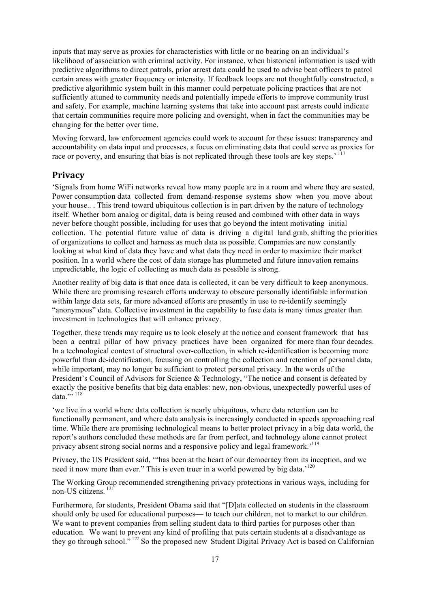inputs that may serve as proxies for characteristics with little or no bearing on an individual's likelihood of association with criminal activity. For instance, when historical information is used with predictive algorithms to direct patrols, prior arrest data could be used to advise beat officers to patrol certain areas with greater frequency or intensity. If feedback loops are not thoughtfully constructed, a predictive algorithmic system built in this manner could perpetuate policing practices that are not sufficiently attuned to community needs and potentially impede efforts to improve community trust and safety. For example, machine learning systems that take into account past arrests could indicate that certain communities require more policing and oversight, when in fact the communities may be changing for the better over time.

Moving forward, law enforcement agencies could work to account for these issues: transparency and accountability on data input and processes, a focus on eliminating data that could serve as proxies for race or poverty, and ensuring that bias is not replicated through these tools are key steps.<sup> $\Omega$ </sup>

#### **Privacy**

'Signals from home WiFi networks reveal how many people are in a room and where they are seated. Power consumption data collected from demand-response systems show when you move about your house.. . This trend toward ubiquitous collection is in part driven by the nature of technology itself. Whether born analog or digital, data is being reused and combined with other data in ways never before thought possible, including for uses that go beyond the intent motivating initial collection. The potential future value of data is driving a digital land grab, shifting the priorities of organizations to collect and harness as much data as possible. Companies are now constantly looking at what kind of data they have and what data they need in order to maximize their market position. In a world where the cost of data storage has plummeted and future innovation remains unpredictable, the logic of collecting as much data as possible is strong.

Another reality of big data is that once data is collected, it can be very difficult to keep anonymous. While there are promising research efforts underway to obscure personally identifiable information within large data sets, far more advanced efforts are presently in use to re-identify seemingly "anonymous" data. Collective investment in the capability to fuse data is many times greater than investment in technologies that will enhance privacy.

Together, these trends may require us to look closely at the notice and consent framework that has been a central pillar of how privacy practices have been organized for more than four decades. In a technological context of structural over-collection, in which re-identification is becoming more powerful than de-identification, focusing on controlling the collection and retention of personal data, while important, may no longer be sufficient to protect personal privacy. In the words of the President's Council of Advisors for Science & Technology, "The notice and consent is defeated by exactly the positive benefits that big data enables: new, non-obvious, unexpectedly powerful uses of data.",  $^{118}$ 

'we live in a world where data collection is nearly ubiquitous, where data retention can be functionally permanent, and where data analysis is increasingly conducted in speeds approaching real time. While there are promising technological means to better protect privacy in a big data world, the report's authors concluded these methods are far from perfect, and technology alone cannot protect privacy absent strong social norms and a responsive policy and legal framework.<sup>'119</sup>

Privacy, the US President said, '"has been at the heart of our democracy from its inception, and we need it now more than ever." This is even truer in a world powered by big data.<sup>120</sup>

The Working Group recommended strengthening privacy protections in various ways, including for non-US citizens. <sup>121</sup>

Furthermore, for students, President Obama said that "[D]ata collected on students in the classroom should only be used for educational purposes— to teach our children, not to market to our children. We want to prevent companies from selling student data to third parties for purposes other than education. We want to prevent any kind of profiling that puts certain students at a disadvantage as they go through school." <sup>122</sup> So the proposed new Student Digital Privacy Act is based on Californian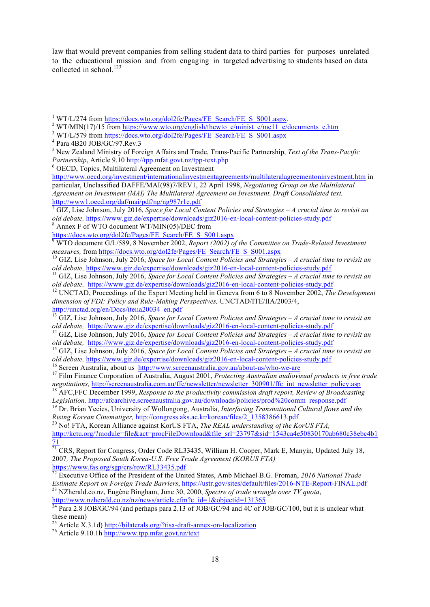law that would prevent companies from selling student data to third parties for purposes unrelated to the educational mission and from engaging in targeted advertising to students based on data collected in school.<sup>123</sup>

these mean)<br><sup>25</sup> Article X.3.1d) http://bilaterals.org/?tisa-draft-annex-on-localization<br><sup>26</sup> Article 9.10.1h http://www.tpp.mfat.govt.nz/text

<sup>&</sup>lt;sup>1</sup> WT/L/274 from https://docs.wto.org/dol2fe/Pages/FE Search/FE S S001.aspx.<br><sup>2</sup> WT/MIN(17)/15 from <u>https://www.wto.org/english/thewto\_e/minist\_e/mc11\_e/documents\_e.htm</u><br><sup>3</sup> WT/L/579 from <u>https://docs.wto.org/dol2fe/Pa</u>

<sup>5</sup> New Zealand Ministry of Foreign Affairs and Trade, Trans-Pacific Partnership, *Text of the Trans-Pacific Partnership*, Article 9.10 http://tpp.mfat.govt.nz/tpp-text.php <sup>6</sup> OECD, Topics, Multilateral Agreement on Investment

http://www.oecd.org/investment/internationalinvestmentagreements/multilateralagreementoninvestment.htm in particular, Unclassified DAFFE/MAI(98)7/REV1, 22 April 1998, *Negotiating Group on the Multilateral Agreement on Investment (MAI) The Multilateral Agreement on Investment, Draft Consolidated text,* http://www1.oecd.org/daf/mai/pdf/ng/ng987r1e.pdf <sup>7</sup> GIZ, Lise Johnson, July 2016, *Space for Local Content Policies and Strategies – A crucial time to revisit an* 

*old debate,* https://www.giz.de/expertise/downloads/giz2016-en-local-content-policies-study.pdf<br><sup>8</sup> Annex F of WTO document WT/MIN(05)/DEC from<br>https://docs.wto.org/dol2fe/Pages/FE Search/FE S S001.aspx

<sup>&</sup>lt;sup>9</sup> WTO document G/L/589, 8 November 2002, *Report (2002) of the Committee on Trade-Related Investment measures,* from <u>https://docs.wto.org/dol2fe/Pages/FE\_Search/FE\_S\_S001.aspx <sup>10</sup> GIZ, Lise Johnson, July 2016, *Space for Local Content Policies and Strategies – A crucial time to revisit an*</u>

old debate, https://www.giz.de/expertise/downloads/giz2016-en-local-content-policies-study.pdf<br><sup>11</sup> GIZ, Lise Johnson, July 2016, *Space for Local Content Policies and Strategies – A crucial time to revisit an*<br>*old debate* 

<sup>&</sup>lt;sup>12</sup> UNCTAD, Proceedings of the Expert Meeting held in Geneva from 6 to 8 November 2002, *The Development dimension of FDI: Policy and Rule-Making Perspectives,* UNCTAD/ITE/IIA/2003/4, http://unctad.org/en/Docs/iteiia20034\_en.pdf

<sup>&</sup>lt;sup>13</sup> GIZ, Lise Johnson, July 2016, *Space for Local Content Policies and Strategies – A crucial time to revisit an old debate, https://www.giz.de/expertise/downloads/giz2016-en-local-content-policies-study.pdf* 

<sup>&</sup>lt;sup>14</sup> GIZ, Lise Johnson, July 2016, Space for Local Content Policies and Strategies  $-A$  crucial time to revisit an

old debate, https://www.giz.de/expertise/downloads/giz2016-en-local-content-policies-study.pdf<br><sup>15</sup> GIZ, Lise Johnson, July 2016, *Space for Local Content Policies and Strategies – A crucial time to revisit an*<br>*old debate* 

<sup>&</sup>lt;sup>16</sup> Screen Australia, about us  $\frac{http://www.screenaustralia.gov.au/about-us/who-we-are}{http://www.screenaustralia.gov.au/about-us/who-we-are}$ <br><sup>17</sup> Film Finance Corporation of Australia, August 2001, *Protecting Australian audiovisual products in free trade* 

*negotiations,* http://screenaustralia.com.au/ffc/newsletter/newsletter\_300901/ffc\_int\_newsletter\_policy.asp <sup>18</sup> AFC,FFC December 1999, *Response to the productivity commission draft report, Review of Broadcasting* 

*Legislation,* http://afcarchive.screenaustralia.gov.au/downloads/policies/prod%20comm\_response.pdf <sup>19</sup> Dr. Brian Yecies, University of Wollongong, Australia, *Interfacing Transnational Cultural flows and the Rising Korean Cinematiger,* http://congress.aks.ac.kr/korean/files/2\_1358386613.pdf <sup>20</sup> No! FTA, Korean Alliance against KorUS FTA, *The REAL understanding of the KorUS FTA*,

http://kctu.org/?module=file&act=procFileDownload&file\_srl=23797&sid=1543ca4e50830170ab680c38ebc4b1 71

 $^{21}$  CRS, Report for Congress, Order Code RL33435, William H. Cooper, Mark E, Manyin, Updated July 18, 2007*, The Proposed South Korea-U.S. Free Trade Agreement (KORUS FTA)* https://www.fas.org/sgp/crs/row/RL33435.pdf

<sup>22</sup> Executive Office of the President of the United States, Amb Michael B.G. Froman, *2016 National Trade Estimate Report on Foreign Trade Barriers*, https://ustr.gov/sites/default/files/2016-NTE-Report-FINAL.pdf <sup>23</sup> NZherald.co.nz, Eugène Bingham, June 30, 2000, *Spectre of trade wrangle over TV quota*, http://www.nzherald.co.nz/nz/news/article.cfm?c\_id=1&objectid=131365

 $^{24}$  Para 2.8 JOB/GC/94 (and perhaps para 2.13 of JOB/GC/94 and 4C of JOB/GC/100, but it is unclear what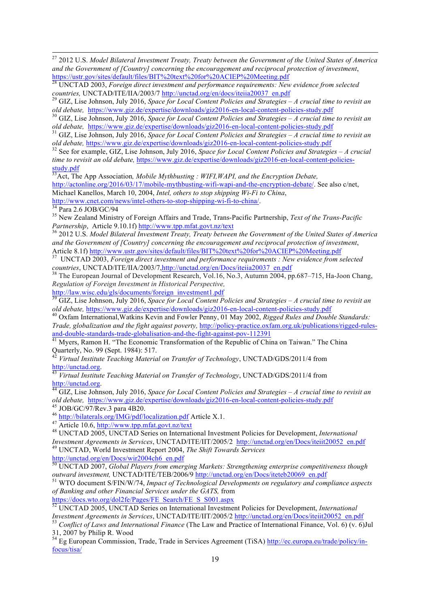27 2012 U.S. *Model Bilateral Investment Treaty, Treaty between the Government of the United States of America and the Government of [Country] concerning the encouragement and reciprocal protection of investment*, https://ustr.gov/sites/default/files/BIT%20text%20for%20ACIEP%20Meeting.pdf

<sup>28</sup> UNCTAD 2003, *Foreign direct investment and performance requirements: New evidence from selected countries,* UNCTAD/ITE/IIA/2003/7 http://unctad.org/en/docs/iteiia20037\_en.pdf <sup>29</sup> GIZ, Lise Johnson, July 2016, *Space for Local Content Policies and Strategies – A crucial time to revisit an* 

old debate, https://www.giz.de/expertise/downloads/giz2016-en-local-content-policies-study.pdf<br><sup>30</sup> GIZ, Lise Johnson, July 2016, *Space for Local Content Policies and Strategies – A crucial time to revisit an*<br>*old debate* 

<sup>31</sup> GIZ, Lise Johnson, July 2016, *Space for Local Content Policies and Strategies* – *A crucial time to revisit an old debate, https://www.giz.de/expertise/downloads/giz2016-en-local-content-policies-study.pdf* 

<sup>32</sup> See for example, GIZ, Lise Johnson, July 2016, Space for Local Content Policies and Strategies – A crucial *time to revisit an old debate,* https://www.giz.de/expertise/downloads/giz2016-en-local-content-policiesstudy.pdf

33Act, The App Association*, Mobile Mythbusting : WIFI,WAPI, and the Encryption Debate,*

http://actonline.org/2016/03/17/mobile-mythbusting-wifi-wapi-and-the-encryption-debate/. See also c/net,

Michael Kanellos, March 10, 2004, *Intel, others to stop shipping Wi-Fi to China*, http://www.cnet.com/news/intel-others-to-stop-shipping-wi-fi-to-china/.

http://www.com/news/intel-others-to-stop-stop-stop-stop-stop-stop-shipping-shipping-shipping-shipping-shipping-<br>35 New Zealand Ministry of Foreign Affairs and Trade, Trans-Pacific Partnership, *Text of the Trans-Pacific*

<sup>36</sup> 2012 U.S. *Model Bilateral Investment Treaty, Treaty between the Government of the United States of America* and the Government of [Country] concerning the encouragement and reciprocal protection of investment,<br>Article 8.1f) http://www.ustr.gov/sites/default/files/BIT%20text%20for%20ACIEP%20Meeting.pdf

<sup>37</sup> UNCTAD 2003, *Foreign direct investment and performance requirements : New evidence from selected countries. UNCTAD/ITE/IIA/2003/7. http://unctad.org/en/Docs/iteija20037 en.pdf* 

**countries, UNCTAD/ITE/IIA/2003/7, http://unctad.org/en/Docs/itemsearch, Zinpan**<br><sup>38</sup> The European Journal of Development Research, Vol.16, No.3, Autumn 2004, pp.687–715, Ha-Joon Chang, *Regulation of Foreign Investment in Historical Perspective,*

http://law.wisc.edu/gls/documents/foreign\_investment1.pdf

<sup>39</sup> GIZ, Lise Johnson, July 2016, *Space for Local Content Policies and Strategies – A crucial time to revisit an old debate*, https://www.giz.de/expertise/downloads/giz2016-en-local-content-policies-study.pdf

<sup>40</sup> Oxfam International, Watkins Kevin and Fowler Penny, 01 May 2002, *Rigged Rules and Double Standards: Trade, globalization and the fight against poverty, http://policy-practice.oxfam.org.uk/publications/rigged-rules*and-double-standards-trade-globalisation-and-the-fight-against-pov-112391<br><sup>41</sup> Myers, Ramon H. "The Economic Transformation of the Republic of China on Taiwan." The China

Quarterly, No. 99 (Sept. 1984): 517.

<sup>42</sup> *Virtual Institute Teaching Material on Transfer of Technology*, UNCTAD/GDS/2011/4 from http://unctad.org.

*Virtual Institute Teaching Material on Transfer of Technology*, UNCTAD/GDS/2011/4 from

http://unctad.org. 44 GIZ, Lise Johnson, July 2016, *Space for Local Content Policies and Strategies – A crucial time to revisit an*  old debate, https://www.giz.de/expertise/downloads/giz2016-en-local-content-policies-study.pdf<br>
<sup>45</sup> JOB/GC/97/Rev.3 para 4B20.<br>
<sup>46</sup> http://bilaterals.org/IMG/pdf/localization.pdf Article X.1.<br>
<sup>47</sup> Article 10.6, http://w

*Investment Agreements in Services*, UNCTAD/ITE/IIT/2005/2 http://unctad.org/en/Docs/iteiit20052\_en.pdf <sup>49</sup> UNCTAD, World Investment Report 2004, *The Shift Towards Services*

http://unctad.org/en/Docs/wir2004ch6\_en.pdf

<sup>50</sup> UNCTAD 2007, *Global Players from emerging Markets: Strengthening enterprise competitiveness though outward investment, UNCTAD/ITE/TEB/2006/9* http://unctad.org/en/Docs/iteteb20069\_en.pdf<br><sup>51</sup> WTO document S/FIN/W/74, *Impact of Technological Developments on regulatory and compliance aspects* 

*of Banking and other Financial Services under the GATS,* from

https://docs.wto.org/dol2fe/Pages/FE\_Search/FE\_S\_S001.aspx

<sup>52</sup> UNCTAD 2005, UNCTAD Series on International Investment Policies for Development, *International* 

*Investment Agreements in Services*, UNCTAD/ITE/IIT/2005/2 <u>http://unctad.org/en/Docs/iteiit20052\_en.pdf</u><br><sup>53</sup> Conflict of Laws and International Finance (The Law and Practice of International Finance, Vol. 6) (v. 6)Jul<br>31

<sup>54</sup> Eg European Commission, Trade, Trade in Services Agreement (TiSA) http://ec.europa.eu/trade/policy/infocus/tisa/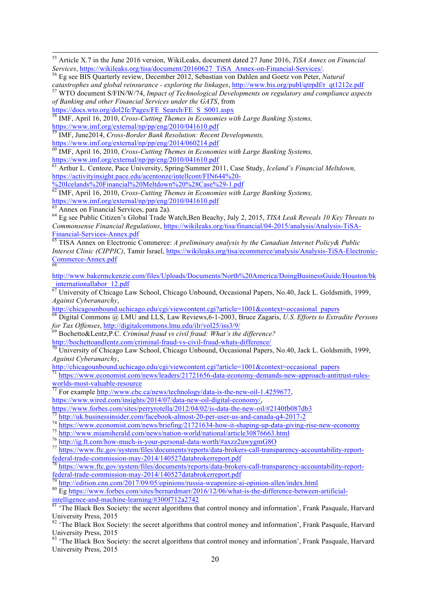<sup>55</sup> Article X.7 in the June 2016 version, WikiLeaks, document dated 27 June 2016, *TiSA Annex on Financial Services*, https://wikileaks.org/tisa/document/20160627 TiSA Annex-on-Financial-Services/.

<sup>56</sup> Eg see BIS Quarterly review. December 2012, Sebastian von Dahlen and Goetz von Peter, *Natural* catastrophes and global reinsurance - exploring the linkages, http://www.bis.org/publ/qtrpdf/r qt1212e.pdf <sup>57</sup> WTO document S/FIN/W/74, Impact of Technological Developments on regulatory and compliance aspects

*of Banking and other Financial Services under the GATS*, from

https://docs.wto.org/dol2fe/Pages/FE\_Search/FE\_S\_S001.aspx <sup>58</sup> IMF, April 16, 2010, *Cross-Cutting Themes in Economies with Large Banking Systems,* https://www.imf.org/external/np/pp/eng/2010/041610.pdf

<sup>59</sup> IMF, June2014, *Cross-Border Bank Resolution: Recent Developments,*

https://www.imf.org/external/np/pp/eng/2014/060214.pdf

<sup>60</sup> IMF, April 16, 2010, *Cross-Cutting Themes in Economies with Large Banking Systems,* https://www.imf.org/external/np/pp/eng/2010/041610.pdf

<sup>61</sup> Arthur L. Centoze, Pace University, Spring/Summer 2011, Case Study, *Iceland's Financial Meltdown,*

https://activityinsight.pace.edu/acentonze/intellcont/FIN644%20-<br>%20Icelands%20Financial%20Meltdown%20%28Case%29-1.pdf

<sup>62</sup> IMF, April 16, 2010, *Cross-Cutting Themes in Economies with Large Banking Systems,* 

https://www.imf.org/external/np/pp/eng/2010/041610.pdf<br>
63 Annex on Financial Services, para 2a).

<sup>64</sup> Eg see Public Citizen's Global Trade Watch,Ben Beachy, July 2, 2015, *TISA Leak Reveals 10 Key Threats to Commonsense Financial Regulations*, https://wikileaks.org/tisa/financial/04-2015/analysis/Analysis-TiSA-Financial-Services-Annex.pdf <sup>65</sup> TISA Annex on Electronic Commerce: *A preliminary analysis by the Canadian Internet Policy& Public* 

*Interest Clinic (CIPPIC)*, Tamir Israel, https://wikileaks.org/tisa/ecommerce/analysis/Analysis-TiSA-Electronic-Commerce-Annex.pdf

http://www.bakermckenzie.com/files/Uploads/Documents/North%20America/DoingBusinessGuide/Houston/bk \_internationallabor\_12.pdf

<sup>67</sup> University of Chicago Law School, Chicago Unbound, Occasional Papers, No.40, Jack L. Goldsmith, 1999, *Against Cyberanarchy*,

http://chicagounbound.uchicago.edu/cgi/viewcontent.cgi?article=1001&context=occasional\_papers

<sup>68</sup> Digital Commons @ LMU and LLS, Law Reviews,6-1-2003, Bruce Zagaris, *U.S. Efforts to Extradite Persons for Tax Offenses*, http://digitalcommons.lmu.edu/ilr/vol25/iss3/9/<br><sup>69</sup> Bochetto&Lentz,P.C. *Criminal fraud vs civil fraud: What's the difference*?

http://bochettoandlentz.com/criminal-fraud-vs-civil-fraud-whats-difference/<br><sup>70</sup> University of Chicago Law School, Chicago Unbound, Occasional Papers, No.40, Jack L. Goldsmith, 1999, *Against Cyberanarchy*,<br>http://chicagounbound.uchicago.edu/cgi/viewcontent.cgi?article=1001&context=occasional papers

 $\frac{1}{71}$ https://www.economist.com/news/leaders/21721656-data-economy-demands-new-approach-antitrust-rulesworlds-most-valuable-resource<br>
<sup>72</sup> For example http://www.cbc.ca/news/technology/data-is-the-new-oil-1.4259677,

https://www.wired.com/insights/2014/07/data-new-oil-digital-economy/,<br>https://www.forbes.com/sites/perryrotella/2012/04/02/is-data-the-new-oil/#2140fb087db3

- 
- 

 $\frac{\frac{73}{73} \frac{\text{http://uk.businessinsider.com/facebook-almost-20-per-user-us-and-canada-q4-2017-2}}{\text{https://www.economist.com/news/briefing/21721634-how-it-shaping-up-data-giving-rise-new-economy}}{\frac{\text{http://www.miamiherald.com/news/hrefing/21721634-how-it-shaping-up-data-giving-rise-new-economy}}{\frac{\text{http://www.miamiherald.com/news/nation-world/national/article30876663.html}}{\frac{\text{http://ig.f.com/how-much-is-your-personal-data-worth/flaxzz2uwygmG8O}}}{\frac{\text{https://www.fte.gov/system/files/documents/report/data$ 

<sup>78</sup> https://www.ftc.gov/system/files/documents/reports/data-brokers-call-transparency-accountability-report-<br>federal-transparency-accountability-report-<br> $\frac{1}{2}$ 

<sup>79</sup> http://edition.cnn.com/2017/09/05/opinions/russia-weaponize-ai-opinion-allen/index.html<br><sup>80</sup> Eg https://www.forbes.com/sites/bernardmarr/2016/12/06/what-is-the-difference-between-artificialintelligence-and-machine-learning/#300f712a2742<br><sup>81</sup> 'The Black Box Society: the secret algorithms that control money and information', Frank Pasquale, Harvard

University Press, 2015

<sup>82</sup> 'The Black Box Society: the secret algorithms that control money and information', Frank Pasquale, Harvard University Press, 2015

83 'The Black Box Society: the secret algorithms that control money and information', Frank Pasquale, Harvard University Press, 2015